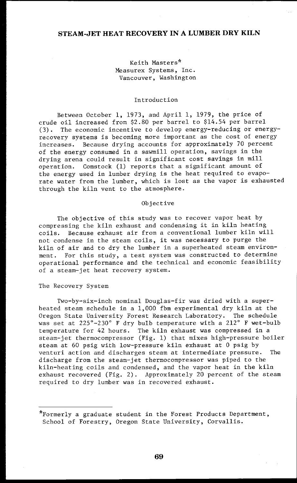# **STEAM-JET HEAT RECOVERY IN A LUMBER DRY KILN**

## Keith Masters\* Measurex Systems, Inc. Vancouver, Washington

## Introduction

Between October 1, 1973, and April 1, 1979, the price of crude oil increased from \$2.80 per barrel to \$14.54 per barrel (3). The economic incentive to develop energy-reducing or energyrecovery systems is becoming more important as the cost of energy increases. Because drying accounts for approximately 70 percent of the energy consumed in a sawmill operation, savings in the drying arena could result in significant cost savings in mill operation. Comstock (1) reports that a significant amount of the energy used in lumber drying is the heat required to evaporate water from the lumber, which is lost as the vapor is exhausted through the kiln vent to the atmosphere.

#### Objective

The objective of this study was to recover vapor heat by compressing the kiln exhaust and condensing it in kiln heating coils. Because exhaust air from a conventional lumber kiln will not condense in the steam coils, it was necessary to purge the kiln of air and to dry the lumber in a superheated steam environment. For this study, a test system was constructed to determine operational performance and the technical and economic feasibility of a steam-jet heat recovery system.

### The Recovery System

Two-by-six-inch nominal Douglas-fir was dried with a superheated steam schedule in a 1,000 fbm experimental dry kiln at the Oregon State University Forest Research Laboratory. The schedule was set at 225°-230° F dry bulb temperature with a 212° F wet-bulb temperature for 42 hours. The kiln exhaust was compressed in a steam-jet thermocompressor (Fig. 1) that mixes high-pressure boiler steam at 60 psig with low-pressure kiln exhaust at 0 psig by venturi action and discharges steam at intermediate pressure. The discharge from the steam-jet thermocompressor was piped to the kiln-heating coils and condensed, and the vapor heat in the kiln exhaust recovered (Fig. 2). Approximately 20 percent of the steam required to dry lumber was in recovered exhaust.

<sup>\*</sup>Formerly a graduate student in the Forest Products Department, School of Forestry, Oregon State University, Corvallis.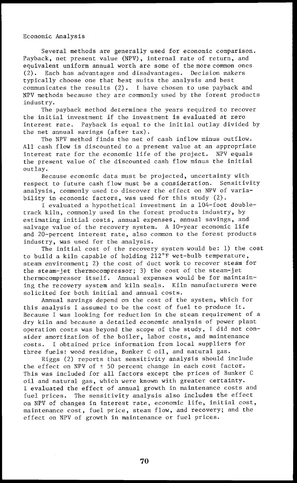## Economic Analysis

Several methods are generally used for economic comparison. Payback, net present value (NPV), internal rate of return, and equivalent uniform annual worth are some of the more common ones (2). Each has advantages and disadvantages. Decision makers typically choose one that best suits the analysis and best communicates the results (2). I have chosen to use payback and NPV methods because they are commonly used by the forest products industry.

The payback method determines the years required to recover the initial investment if the investment is evaluated at zero interest rate. Payback is equal to the initial outlay divided by the net annual savings (after tax).

The NPV method finds the net of cash inflow minus outflow. All cash flow is discounted to a present value at an appropriate interest rate for the economic life of the project. NPV equals the present value of the discounted cash flow minus the initial outlay.

Because economic data must be projected, uncertainty with respect to future cash flow must be a consideration. Sensitivity analysis, commonly used to discover the effect on NPV of variability in economic factors, was used for this study (2).

I evaluated a hypothetical investment in a 104-foot doubletrack kiln, commonly used in the forest products industry, by estimating initial costs, annual expenses, annual savings, and salvage value of the recovery system. A 10-year economic life and 20-percent interest rate, also common to the forest products industry, was used for the analysis.

The initial cost of the recovery system would be: 1) the cost to build a kiln capable of holding 212°F wet-bulb temperature, steam environment; 2) the cost of duct work to recover steam for the steam-jet thermocompressor; 3) the cost of the steam-jet thermocompressor itself. Annual expenses would be for maintaining the recovery system and kiln seals. Kiln manufacturers were solicited for both initial and annual costs.

Annual savings depend on the cost of the system, which for this analysis I assumed to be the cost of fuel to produce it. Because I was looking for reduction in the steam requirement of a dry kiln and because a detailed economic analysis of power plant operation costs was beyond the scope of the study, I did not consider amortization of the boiler, labor costs, and maintenance costs. I obtained price information from local suppliers for three fuels: wood residue, Bunker C oil, and natural gas. Annuar savings depend on the cost of the system, which it<br>this analysis I assumed to be the cost of fuel to produce it.<br>Because I was looking for reduction in the steam requirement<br>dry kiln and because a detailed economic

Riggs (2) reports that sensitivity analysis should include the effect on NPV of  $\pm$  50 percent change in each cost factor. This was included for all factors except the prices of Bunker C oil and natural gas, which were known with greater certainty. I evaluated the effect of annual growth in maintenance costs and fuel prices. The sensitivity analysis also includes the effect on NPV of changes in interest rate, economic life, initial cost, maintenance cost, fuel price, steam flow, and recovery; and the effect on NPV of growth in maintenance or fuel prices.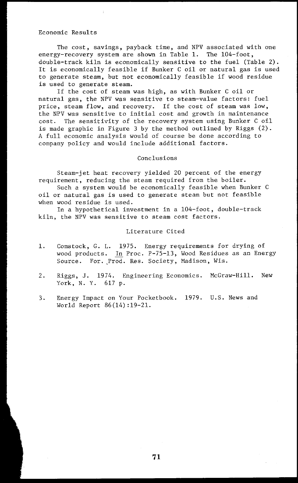Economic Results

The cost, savings, payback time, and NPV associated with one energy-recovery system are shown in Table 1. The 104-foot, double-track kiln is economically sensitive to the fuel (Table 2). It is economically feasible if Bunker C oil or natural gas is used to generate steam, but not economically feasible if wood residue is used to generate steam.

If the cost of steam was high, as with Bunker C oil or natural gas, the NPV was sensitive to steam-value factors: fuel price, steam flow, and recovery. If the cost of steam was low, the NPV was sensitive to initial cost and growth in maintenance cost. The sensitivity of the recovery system using Bunker C oil is made graphic in Figure 3 by the method outlined by Riggs (2). A full economic analysis would of course be done according to company policy and would include additional factors.

#### Conclusions

Steam-jet heat recovery yielded 20 percent of the energy requirement, reducing the steam required from the boiler.

Such a system would be economically feasible when Bunker C oil or natural gas is used to generate steam but not feasible when wood residue is used.

In a hypothetical investment in a 104-foot, double-track kiln, the NPV was sensitive to steam cost factors.

#### Literature Cited

- 1. Comstock, G. L. 1975. Energy requirements for drying of wood products. In Proc. P-75-13, Wood Residues as an Energy Source. For. Prod. Res. Society, Madison, Wis.
- 2. Riggs, J. 1974. Engineering Economics. McGraw-Hill. New York, N. Y. 617 p.
- 3. Energy Impact on Your Pocketbook. 1979. U.S. News and World Report 86(14):19-21.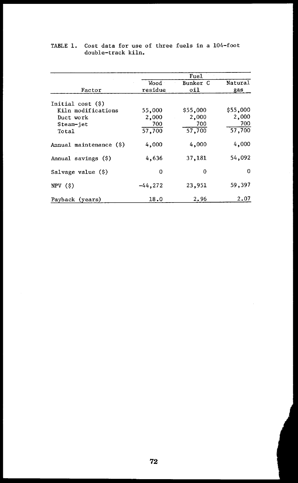|                         |            | Fue1     |          |
|-------------------------|------------|----------|----------|
|                         | Wood       | Bunker C | Natural  |
| Factor                  | residue    | 011      | gas      |
| Initial $cost$ $(\$)$   |            |          |          |
| Kiln modifications      | 55,000     | \$55,000 | \$55,000 |
| Duct work               | 2,000      | 2,000    | 2,000    |
| Steam-jet               | 700        | 700      | 700      |
| Total                   | 57,700     | 57,700   | 57,700   |
| Annual maintenance (\$) | 4,000      | 4,000    | 4,000    |
| Annual savings (\$)     | 4,636      | 37,181   | 54,092   |
| Salvage value $(\$)$    | $\Omega$   | $\Omega$ | 0        |
| NPV(5)                  | $-44, 272$ | 23,951   | 59,397   |
| Payback (years)         | 18.0       | 2.96     | 2.07     |

## TABLE 1. Cost data for use of three fuels in a 104-foot double-track kiln.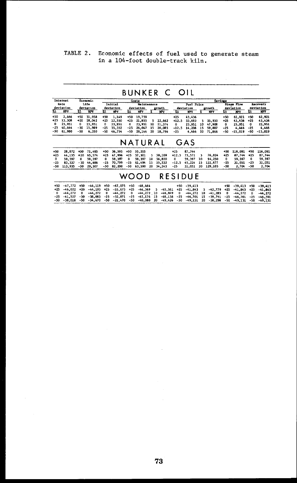TABLE 2. Economic effects of fuel used to generate steam in a 104-foot double-track kiln.

|              | TABLE 2.                |            |                                                                        |              |                         |              |                         |                   | in a 104-foot double-track kiln. |             |                          |                               | Economic effects of fuel used to generate steam                                                                 |                |                                      |                |                  |
|--------------|-------------------------|------------|------------------------------------------------------------------------|--------------|-------------------------|--------------|-------------------------|-------------------|----------------------------------|-------------|--------------------------|-------------------------------|-----------------------------------------------------------------------------------------------------------------|----------------|--------------------------------------|----------------|------------------|
|              |                         |            |                                                                        |              |                         |              |                         |                   | <b>BUNKER C OIL</b>              |             |                          |                               |                                                                                                                 |                |                                      |                |                  |
|              | Interest                |            | Economic                                                               |              |                         |              | Costs                   |                   |                                  |             |                          |                               | Savings                                                                                                         |                |                                      |                |                  |
| Life<br>Rate |                         |            | Initial<br>Maintenance                                                 |              |                         |              |                         | <b>Fuel Price</b> |                                  |             |                          | <b>Steam Flow</b><br>Recovery |                                                                                                                 |                |                                      |                |                  |
| zΔ           | deviation<br><b>NPV</b> | XΔ         | deviation<br><b>NPV</b>                                                | ZΔ           | deviation<br><b>NPV</b> | ZΔ           | deviation<br><b>NPV</b> | x                 | growth<br>NPV                    | 24          | deviation<br><b>NPV</b>  | x                             | growth<br><b>XPV</b>                                                                                            | ĩΔ             | deviation<br><b>MPV</b>              | zδ             | deviation<br>NPV |
| +50          | 2,666                   | $+50$      | 31.958                                                                 | $+50$        |                         |              | +50 19.759              |                   |                                  | $+25$       |                          |                               |                                                                                                                 |                |                                      |                | 62.921           |
| $+25$        | 13,308                  | $+20$      | 28,042                                                                 | $+25$        | 1,149<br>12,550         |              | $+25$ 21,855            | 5.                | 22,662                           | $+12.5$     | 43,436<br>33.693         | 5                             | 35,930                                                                                                          | $+50$<br>$+25$ | 62,921<br>43,436                     | $+50$<br>$+25$ | 43,436           |
| $\mathbf{o}$ | 23,951                  | ٥          | 23,951                                                                 | 0            | 23,951                  | 0            | 23,951                  |                   | 10 21, 374                       | 0           | 23.951                   | 10                            | 47.908                                                                                                          | 0              | 23,951                               | 0              | 23,951           |
|              | -25 40.644              | $-30$      | 15,989                                                                 | -25          | 35,352                  |              | $-25$ 26,047            | 15                | 20,085                           | -12.5       | 14,208                   | 15                            | 59,887                                                                                                          | -25            | 4,466                                | $-25$          | 4,466            |
| -50          | 61.980                  | $-50$      | 6,350                                                                  | -50          | 46.754                  | -50          | 28.144                  |                   | 20 18,796                        | $-25$       | 4.466                    | 20                            | 71,866                                                                                                          | $-50$          | $-15.019$                            | $-50$          | $-15.019$        |
|              |                         |            |                                                                        |              |                         |              | NATURAL                 |                   |                                  |             | GAS                      |                               |                                                                                                                 |                |                                      |                |                  |
| $+50$        |                         |            | 28,872 +50 71,485                                                      | $+50$        | 36,595 +50              |              | 55,205                  |                   |                                  | $+25$       | 87.744                   |                               |                                                                                                                 | $+50$          | $116.091 + 50$                       |                | 116,091          |
| $+25$        | 44,135                  |            | $+20$ 65.574                                                           | $+25$        | 47.996                  | $+25$        | 57,301                  |                   | 5 58,109                         |             | $+12.5$ 73,571           | 5                             | 76,824                                                                                                          | $+25$          | 87.744                               | $+25$          | 87,744           |
| ٥            | 59,397                  | o          | 59.397                                                                 | 0            | 59.397                  | 0            | 59.397                  | 10                | 56,820                           | $\mathbf 0$ | 59,397                   | 10                            | 94,250                                                                                                          | 0              | 59.397                               | ٥              | 59,397           |
| $-25$        | 83,337<br>$-50$ 113,935 | $-50$      | $-30, 44, 686$<br>29,307                                               | $-25$<br>-50 | 70.799<br>82.200        | $-25$<br>-50 | 61,494<br>63,590        | 15<br>- 20        | 55,532<br>54,243                 | $-25$       | $-12.5$ 45,224<br>31,051 | 15<br>20                      | 111,677<br>129,103                                                                                              | $-25$<br>-50   | 31,051<br>2,704                      | $-25$<br>$-50$ | 31,051<br>2,704  |
|              |                         |            |                                                                        |              |                         |              | WOOD                    |                   |                                  |             | <b>RESIDUE</b>           |                               |                                                                                                                 |                |                                      |                |                  |
| $+50$        | $-47,772$ $+50$         |            | $-44.119$ +50 -67.075 +50                                              |              |                         |              | $-48.464$               |                   |                                  |             | $+50 -39.413$            |                               |                                                                                                                 |                |                                      |                |                  |
| $+25$        | $-46,022$               | $+20$      | $-44.193$ $+25$ $-55.673$                                              |              |                         | $+25$        | $-46,369$               |                   |                                  |             | $5 -45.561 +25 -41.843$  |                               | $5 - 42,779$                                                                                                    | $+25$          | +50 -39.413 +50 -39.413<br>$-41,843$ |                | $+25 - 41,843$   |
| ு            | $-44, 272$              | $^{\circ}$ | $-44, 272$                                                             | 0            | $-44, 272$              | $^{\circ}$   |                         |                   | $-44,272,10$ $-46,849$           | $\bullet$   |                          |                               | $-44, 272$ 10 $-41, 285$                                                                                        | $^{\circ}$     | $-44, 272$                           | $\mathbf{o}$   | $-44, 272$       |
|              | $-25 - 41.527 - 30$     |            | $-38.083$ $-25$ $-32.871$ $-25$ $-42.176$ 15 $-48.138$ $-25$ $-46.701$ |              |                         |              |                         |                   |                                  |             |                          |                               | $15 -39.791 -25 -46.701 -25 -46.701$                                                                            |                |                                      |                |                  |
|              |                         |            |                                                                        |              |                         |              |                         |                   |                                  |             |                          |                               | -50 -38 018 -50 -34 670 -50 -50 -50 -60 080 -60 -60 -60 -60 -60 -60 -60 -60 -50 -50 -50 -50 -60 -60 -60 -60 -60 |                |                                      |                |                  |

|  | +50 -47,772 +50 -44,119 +50 -67,075 +50 -48,464                                                                                                             |  |  |  | $+50 -39.413$ |  |  | $+50 -39,413 +50 -39,413$ |
|--|-------------------------------------------------------------------------------------------------------------------------------------------------------------|--|--|--|---------------|--|--|---------------------------|
|  | $+25$ $-46,022$ $+20$ $-44,193$ $+25$ $-55,673$ $+25$ $-46,369$ 5 $-45,561$ $+25$ $-41,843$ 5 $-42,779$ $+25$ $-41,843$ $+25$ $-41,843$                     |  |  |  |               |  |  |                           |
|  | 0 -44,272 0 -44,272 0 -44,272 0 -44,272 10 -46,849 0 -44,272 10 -41,285 0 -44,272 0 -44,272                                                                 |  |  |  |               |  |  |                           |
|  | $-25$ $-41$ , 527 $-30$ $-38$ , 083 $-25$ $-32$ , 871 $-25$ $-42$ , 176 15 $-48$ , 138 $-25$ $-46$ , 701 15 $-39$ , 791 $-25$ $-46$ , 701 $-25$ $-46$ , 701 |  |  |  |               |  |  |                           |
|  | $-50$ $-38,018$ $-50$ $-34,670$ $-50$ $-21,470$ $-50$ $-40,080$ 20 $-49,426$ $-50$ $-49,131$ 20 $-38,298$ $-50$ $-49,131$ $-50$ $-49,131$                   |  |  |  |               |  |  |                           |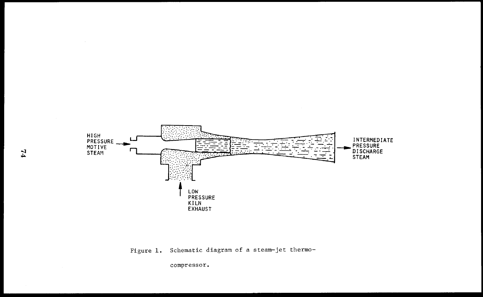

Figure 1. Schematic diagram of a steam-jet thermo-

compressor.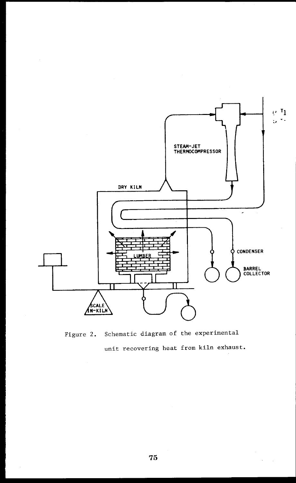

Figure 2. Schematic diagram of the experimental unit recovering heat from kiln exhaust.